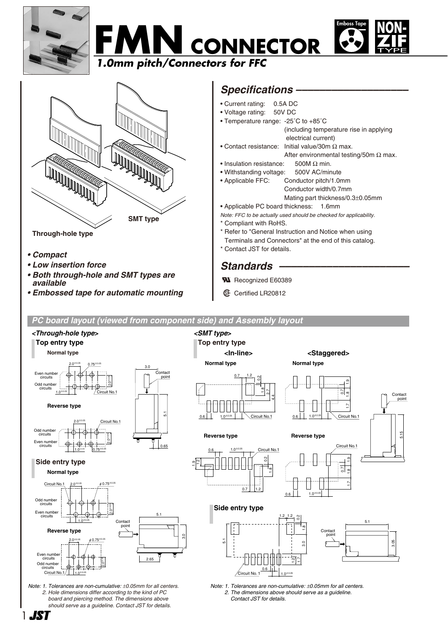





### **Through-hole type**

- *Compact*
- *Low insertion force*
- *Both through-hole and SMT types are available*
- *Embossed tape for automatic mounting*

# *Specifications –––––––––––––––––––*

- Current rating: 0.5A DC
- Voltage rating: 50V DC
- Temperature range: -25˚C to +85˚C
- (including temperature rise in applying electrical current) • Contact resistance: Initial value/30m Ω max.
	- After environmental testing/50m  $\Omega$  max.
- Insulation resistance:  $500M \Omega$  min.
- Withstanding voltage: 500V AC/minute
- Applicable FFC: Conductor pitch/1.0mm Conductor width/0.7mm
	- Mating part thickness/0.3±0.05mm
- Applicable PC board thickness: 1.6mm

*Note: FFC to be actually used should be checked for applicability.*

- \* Compliant with RoHS.
- \* Refer to "General Instruction and Notice when using
- Terminals and Connectors" at the end of this catalog.
- \* Contact JST for details.

# *Standards ––––––––––––––––––––––*

- **W** Recognized E60389
- **1** Certified LR20812

*PC board layout (viewed from component side) and Assembly layout* 



1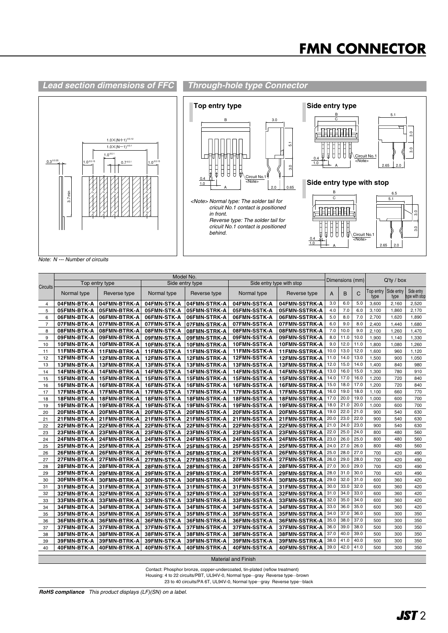# **FMN CONNECTOR**



*Note: N --- Number of circuits*

|                                                                                                           | $3.7$ min                                   |                              |                            | <note> Normal type: The solder tail for<br/>cricuit No.1 contact is positioned<br/>in front.<br/>Reverse type: The solder tail for<br/>cricuit No.1 contact is positioned<br/>behind.<br/>0.4<br/>1.0</note> |                                                                                                                                                          |                                |                 | в<br>6.5<br>C<br>5.1<br><b>THHHHH</b><br>3.0<br>3.0<br>D)<br>₩<br>U<br>U<br>Ū<br>Circuit No.1<br><note><br/>2.65<br/>2.0</note> |               |                        |                |                |  |
|-----------------------------------------------------------------------------------------------------------|---------------------------------------------|------------------------------|----------------------------|--------------------------------------------------------------------------------------------------------------------------------------------------------------------------------------------------------------|----------------------------------------------------------------------------------------------------------------------------------------------------------|--------------------------------|-----------------|---------------------------------------------------------------------------------------------------------------------------------|---------------|------------------------|----------------|----------------|--|
|                                                                                                           | Note: N --- Number of circuits<br>Model No. |                              |                            |                                                                                                                                                                                                              |                                                                                                                                                          |                                |                 |                                                                                                                                 |               |                        |                |                |  |
|                                                                                                           | Top entry type                              |                              |                            |                                                                                                                                                                                                              | Side entry type with stop                                                                                                                                |                                | Dimensions (mm) |                                                                                                                                 | $Q'$ ty / box |                        |                |                |  |
| Circuits                                                                                                  | Normal type                                 | Reverse type                 | Normal type                | Side entry type<br>Reverse type                                                                                                                                                                              | Normal type                                                                                                                                              | Reverse type                   | A               | B                                                                                                                               | C             | Top entry   Side entry |                | Side entry     |  |
|                                                                                                           |                                             |                              |                            |                                                                                                                                                                                                              |                                                                                                                                                          |                                |                 |                                                                                                                                 |               | type                   | type           | type with stop |  |
| 4                                                                                                         | 04FMN-BTK-A                                 | 04FMN-BTRK-A                 | 04FMN-STK-A                | 04FMN-STRK-A                                                                                                                                                                                                 | 04FMN-SSTK-A                                                                                                                                             | 04FMN-SSTRK-A                  | 3.0             | 6.0                                                                                                                             | 5.0           | 3,600                  | 2,160          | 2,520          |  |
| 5                                                                                                         | 05FMN-BTK-A                                 | 05FMN-BTRK-A                 | 05FMN-STK-A                | 05FMN-STRK-A                                                                                                                                                                                                 | 05FMN-SSTK-A                                                                                                                                             | 05FMN-SSTRK-A                  | 4.0<br>5.0      | 7.0<br>8.0                                                                                                                      | 6.0<br>7.0    | 3,100                  | 1,860          | 2,170          |  |
| 6<br>$\overline{7}$                                                                                       | 06FMN-BTK-A<br>07FMN-BTK-A                  | 06FMN-BTRK-A                 | 06FMN-STK-A                | 06FMN-STRK-A                                                                                                                                                                                                 | 06FMN-SSTK-A<br>07FMN-SSTK-A                                                                                                                             | 06FMN-SSTRK-A                  | 6.0             | 9.0                                                                                                                             | 8.0           | 2,700<br>2,400         | 1,620<br>1,440 | 1,890<br>1,680 |  |
| 8                                                                                                         | 08FMN-BTK-A                                 | 07FMN-BTRK-A                 | 07FMN-STK-A                | 07FMN-STRK-A                                                                                                                                                                                                 | 08FMN-SSTK-A                                                                                                                                             | 07FMN-SSTRK-A                  | 7.0             | 10.0                                                                                                                            | 9.0           | 2,100                  | 1,260          | 1,470          |  |
| 9                                                                                                         | 09FMN-BTK-A                                 | 08FMN-BTRK-A<br>09FMN-BTRK-A | 08FMN-STK-A<br>09FMN-STK-A | 08FMN-STRK-A<br>09FMN-STRK-A                                                                                                                                                                                 | 09FMN-SSTK-A                                                                                                                                             | 08FMN-SSTRK-A<br>09FMN-SSTRK-A | 8.0             | 11.0                                                                                                                            | 10.0          | 1,900                  | 1,140          | 1,330          |  |
| 10                                                                                                        | 10FMN-BTK-A                                 | 10FMN-BTRK-A                 | 10FMN-STK-A                | 10FMN-STRK-A                                                                                                                                                                                                 | 10FMN-SSTK-A                                                                                                                                             | 10FMN-SSTRK-A                  | 9.0             | 12.0                                                                                                                            | 11.0          | 1,800                  | 1,080          | 1,260          |  |
| 11                                                                                                        | 11FMN-BTK-A                                 | 11FMN-BTRK-A                 | 11FMN-STK-A                | <b>11FMN-STRK-A</b>                                                                                                                                                                                          | <b>11FMN-SSTK-A</b>                                                                                                                                      | <b>11FMN-SSTRK-A</b>           | 10.0            | 13.0                                                                                                                            | 12.0          | 1,600                  | 960            | 1,120          |  |
| 12                                                                                                        | 12FMN-BTK-A                                 | 12FMN-BTRK-A                 | 12FMN-STK-A                | <b>12FMN-STRK-A</b>                                                                                                                                                                                          | <b>12FMN-SSTK-A</b>                                                                                                                                      | 12FMN-SSTRK-A                  | 11.0            | 14.0                                                                                                                            | 13.0          | 1,500                  | 900            | 1,050          |  |
| 13                                                                                                        | 13FMN-BTK-A                                 | 13FMN-BTRK-A                 | 13FMN-STK-A                | 13FMN-STRK-A                                                                                                                                                                                                 | <b>13FMN-SSTK-A</b>                                                                                                                                      | 13FMN-SSTRK-A                  | 12.0            | 15.0                                                                                                                            | 14.0          | 1,400                  | 840            | 980            |  |
| 14                                                                                                        | 14FMN-BTK-A                                 | 14FMN-BTRK-A                 | 14FMN-STK-A                | 14FMN-STRK-A                                                                                                                                                                                                 | <b>14FMN-SSTK-A</b>                                                                                                                                      | 14FMN-SSTRK-A                  | 13.0            | 16.0                                                                                                                            | 15.0          | 1,300                  | 780            | 910            |  |
| 15                                                                                                        | 15FMN-BTK-A                                 | 15FMN-BTRK-A                 | 15FMN-STK-A                | <b>15FMN-STRK-A</b>                                                                                                                                                                                          | <b>15FMN-SSTK-A</b>                                                                                                                                      | 15FMN-SSTRK-A                  | 14.0            | 17.0                                                                                                                            | 16.0          | 1,200                  | 720            | 840            |  |
| 16                                                                                                        | 16FMN-BTK-A                                 | 16FMN-BTRK-A                 | 16FMN-STK-A                | 16FMN-STRK-A                                                                                                                                                                                                 | 16FMN-SSTK-A                                                                                                                                             | 16FMN-SSTRK-A                  | 15.0            | 18.0                                                                                                                            | 17.0          | 1,200                  | 720            | 840            |  |
| 17                                                                                                        | 17FMN-BTK-A                                 | 17FMN-BTRK-A                 | 17FMN-STK-A                | 17FMN-STRK-A                                                                                                                                                                                                 | <b>17FMN-SSTK-A</b>                                                                                                                                      | 17FMN-SSTRK-A                  | 16.0            | 19.0                                                                                                                            | 18.0          | 1,100                  | 660            | 770            |  |
| 18                                                                                                        | 18FMN-BTK-A                                 | 18FMN-BTRK-A                 | 18FMN-STK-A                | <b>18FMN-STRK-A</b>                                                                                                                                                                                          | <b>18FMN-SSTK-A</b>                                                                                                                                      | <b>18FMN-SSTRK-A</b>           | 17.0            | 20.0                                                                                                                            | 19.0          | 1,000                  | 600            | 700            |  |
| 19                                                                                                        | 19FMN-BTK-A                                 | 19FMN-BTRK-A                 | 19FMN-STK-A                | 19FMN-STRK-A                                                                                                                                                                                                 | <b>19FMN-SSTK-A</b>                                                                                                                                      | 19FMN-SSTRK-A                  | 18.0            | 21.0                                                                                                                            | 20.0          | 1,000                  | 600            | 700            |  |
| 20                                                                                                        | 20FMN-BTK-A                                 | 20FMN-BTRK-A                 | 20FMN-STK-A                | 20FMN-STRK-A                                                                                                                                                                                                 | 20FMN-SSTK-A                                                                                                                                             | 20FMN-SSTRK-A                  | 19.0            | 22.0                                                                                                                            | 21.0          | 900                    | 540            | 630            |  |
| 21                                                                                                        | 21FMN-BTK-A                                 | 21FMN-BTRK-A                 | 21FMN-STK-A                | 21FMN-STRK-A                                                                                                                                                                                                 | 21FMN-SSTK-A                                                                                                                                             | 21FMN-SSTRK-A                  | 20.0            | 23.0                                                                                                                            | 22.0          | 900                    | 540            | 630            |  |
| 22                                                                                                        | 22FMN-BTK-A                                 | 22FMN-BTRK-A                 | 22FMN-STK-A                | 22FMN-STRK-A                                                                                                                                                                                                 | 22FMN-SSTK-A                                                                                                                                             | 22FMN-SSTRK-A                  | 21.0            | 24.0                                                                                                                            | 23.0          | 900                    | 540            | 630            |  |
| 23                                                                                                        | 23FMN-BTK-A                                 | 23FMN-BTRK-A                 | 23FMN-STK-A                | 23FMN-STRK-A                                                                                                                                                                                                 | 23FMN-SSTK-A                                                                                                                                             | 23FMN-SSTRK-A                  | 22.0            | 25.0                                                                                                                            | 24.0          | 800                    | 480            | 560            |  |
| 24                                                                                                        | 24FMN-BTK-A                                 | 24FMN-BTRK-A                 | 24FMN-STK-A                | 24FMN-STRK-A                                                                                                                                                                                                 | 24FMN-SSTK-A                                                                                                                                             | 24FMN-SSTRK-A                  | 23.0            | 26.0                                                                                                                            | 25.0          | 800                    | 480            | 560            |  |
| 25                                                                                                        | 25FMN-BTK-A                                 | 25FMN-BTRK-A                 | 25FMN-STK-A                | 25FMN-STRK-A                                                                                                                                                                                                 | 25FMN-SSTK-A                                                                                                                                             | 25FMN-SSTRK-A                  | 24.0            | 27.0                                                                                                                            | 26.0          | 800                    | 480            | 560            |  |
| 26                                                                                                        | 26FMN-BTK-A                                 | 26FMN-BTRK-A                 | 26FMN-STK-A                | 26FMN-STRK-A                                                                                                                                                                                                 | 26FMN-SSTK-A                                                                                                                                             | 26FMN-SSTRK-A                  | 25.0            | 28.0                                                                                                                            | 27.0          | 700                    | 420            | 490            |  |
| 27                                                                                                        | 27FMN-BTK-A                                 | 27FMN-BTRK-A                 | 27FMN-STK-A                | 27FMN-STRK-A                                                                                                                                                                                                 | 27FMN-SSTK-A                                                                                                                                             | 27FMN-SSTRK-A                  | 26.0            | 29.0                                                                                                                            | 28.0          | 700                    | 420            | 490            |  |
| 28                                                                                                        | 28FMN-BTK-A                                 | 28FMN-BTRK-A                 | 28FMN-STK-A                | 28FMN-STRK-A                                                                                                                                                                                                 | 28FMN-SSTK-A                                                                                                                                             | 28FMN-SSTRK-A                  | 27.0            | 30.0                                                                                                                            | 29.0          | 700                    | 420            | 490            |  |
| 29                                                                                                        | 29FMN-BTK-A                                 | 29FMN-BTRK-A                 | 29FMN-STK-A                | 29FMN-STRK-A                                                                                                                                                                                                 | 29FMN-SSTK-A                                                                                                                                             | 29FMN-SSTRK-A                  | 28.0            | 31.0                                                                                                                            | 30.0          | 700                    | 420            | 490            |  |
| 30                                                                                                        | 30FMN-BTK-A                                 | 30FMN-BTRK-A                 | 30FMN-STK-A                | 30FMN-STRK-A                                                                                                                                                                                                 | 30FMN-SSTK-A                                                                                                                                             | 30FMN-SSTRK-A                  | 29.0            | 32.0                                                                                                                            | 31.0          | 600                    | 360            | 420            |  |
| 31                                                                                                        | 31FMN-BTK-A                                 | 31FMN-BTRK-A                 | 31FMN-STK-A                | 31FMN-STRK-A                                                                                                                                                                                                 | 31FMN-SSTK-A                                                                                                                                             | 31FMN-SSTRK-A                  | 30.0            | 33.0                                                                                                                            | 32.0          | 600                    | 360            | 420            |  |
| 32                                                                                                        | 32FMN-BTK-A                                 | 32FMN-BTRK-A                 | 32FMN-STK-A                | 32FMN-STRK-A                                                                                                                                                                                                 | 32FMN-SSTK-A                                                                                                                                             | 32FMN-SSTRK-A                  | 31.0            | 34.0                                                                                                                            | 33.0          | 600                    | 360            | 420            |  |
| 33                                                                                                        | 33FMN-BTK-A                                 | 33FMN-BTRK-A                 | 33FMN-STK-A                | 33FMN-STRK-A                                                                                                                                                                                                 | 33FMN-SSTK-A                                                                                                                                             | 33FMN-SSTRK-A                  | 32.0            | 35.0                                                                                                                            | 34.0          | 600                    | 360            | 420            |  |
| 34                                                                                                        | 34FMN-BTK-A                                 | 34FMN-BTRK-A                 | 34FMN-STK-A                | 34FMN-STRK-A                                                                                                                                                                                                 | 34FMN-SSTK-A                                                                                                                                             | 34FMN-SSTRK-A                  | 33.0            | 36.0                                                                                                                            | 35.0          | 600                    | 360            | 420            |  |
| 35                                                                                                        | 35FMN-BTK-A                                 | 35FMN-BTRK-A                 | 35FMN-STK-A                | 35FMN-STRK-A                                                                                                                                                                                                 | 35FMN-SSTK-A                                                                                                                                             | 35FMN-SSTRK-A                  | 34.0            | 37.0                                                                                                                            | 36.0          | 500                    | 300            | 350            |  |
| 36                                                                                                        | 36FMN-BTK-A                                 | 36FMN-BTRK-A                 | 36FMN-STK-A                | 36FMN-STRK-A                                                                                                                                                                                                 | 36FMN-SSTK-A                                                                                                                                             | 36FMN-SSTRK-A                  | 35.0            | 38.0                                                                                                                            | 37.0          | 500                    | 300            | 350            |  |
| 37                                                                                                        | 37FMN-BTK-A                                 | 37FMN-BTRK-A                 | 37FMN-STK-A                | 37FMN-STRK-A                                                                                                                                                                                                 | 37FMN-SSTK-A                                                                                                                                             | 37FMN-SSTRK-A                  | 36.0            | 39.0                                                                                                                            | 38.0          | 500                    | 300            | 350            |  |
| 38                                                                                                        | 38FMN-BTK-A                                 | 38FMN-BTRK-A                 | 38FMN-STK-A                | 38FMN-STRK-A                                                                                                                                                                                                 | 38FMN-SSTK-A                                                                                                                                             | 38FMN-SSTRK-A                  | 37.0            | 40.0                                                                                                                            | 39.0          | 500                    | 300            | 350            |  |
| 39                                                                                                        | 39FMN-BTK-A                                 | 39FMN-BTRK-A                 | 39FMN-STK-A                | 39FMN-STRK-A                                                                                                                                                                                                 | 39FMN-SSTK-A                                                                                                                                             | <b>39FMN-SSTRK-A</b>           | 38.0            | 41.0                                                                                                                            | 40.0          | 500                    | 300            | 350            |  |
| 40                                                                                                        | 40FMN-BTK-A                                 | 40FMN-BTRK-A                 | 40FMN-STK-A                | 40FMN-STRK-A                                                                                                                                                                                                 | 40FMN-SSTK-A                                                                                                                                             | 40FMN-SSTRK-A                  | 39.0            | 42.0                                                                                                                            | 41.0          | 500                    | 300            | 350            |  |
|                                                                                                           |                                             |                              |                            |                                                                                                                                                                                                              |                                                                                                                                                          |                                |                 |                                                                                                                                 |               |                        |                |                |  |
| <b>Material and Finish</b><br>Contact: Phosphor bronze, copper-undercoated, tin-plated (reflow treatment) |                                             |                              |                            |                                                                                                                                                                                                              |                                                                                                                                                          |                                |                 |                                                                                                                                 |               |                        |                |                |  |
|                                                                                                           |                                             |                              |                            |                                                                                                                                                                                                              | Housing: 4 to 22 circuits/PBT, UL94V-0, Normal type  gray Reverse type  brown<br>23 to 40 circuits/PA 6T, UL94V-0, Normal type  gray Reverse type  black |                                |                 |                                                                                                                                 |               |                        |                |                |  |
| <b>RoHS compliance</b> This product displays (LF)(SN) on a label.                                         |                                             |                              |                            |                                                                                                                                                                                                              |                                                                                                                                                          |                                |                 |                                                                                                                                 |               |                        |                |                |  |